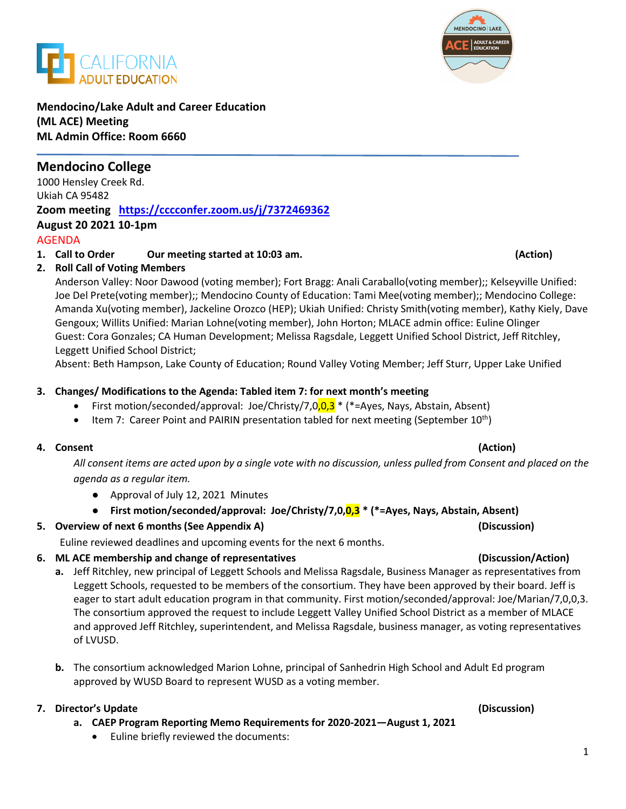### **Mendocino/Lake Adult and Career Education (ML ACE) Meeting ML Admin Office: Room 6660**

# **Mendocino College**

1000 Hensley Creek Rd. Ukiah CA 95482 **Zoom meeting <https://cccconfer.zoom.us/j/7372469362> August 20 2021 10-1pm** AGENDA

### **1. Call to Order Our meeting started at 10:03 am. (Action)**

## **2. Roll Call of Voting Members**

Anderson Valley: Noor Dawood (voting member); Fort Bragg: Anali Caraballo(voting member);; Kelseyville Unified: Joe Del Prete(voting member);; Mendocino County of Education: Tami Mee(voting member);; Mendocino College: Amanda Xu(voting member), Jackeline Orozco (HEP); Ukiah Unified: Christy Smith(voting member), Kathy Kiely, Dave Gengoux; Willits Unified: Marian Lohne(voting member), John Horton; MLACE admin office: Euline Olinger Guest: Cora Gonzales; CA Human Development; Melissa Ragsdale, Leggett Unified School District, Jeff Ritchley, Leggett Unified School District;

Absent: Beth Hampson, Lake County of Education; Round Valley Voting Member; Jeff Sturr, Upper Lake Unified

### **3. Changes/ Modifications to the Agenda: Tabled item 7: for next month's meeting**

- First motion/seconded/approval: Joe/Christy/7,0,0,3  $*$  ( $*$ =Ayes, Nays, Abstain, Absent)
- Item 7: Career Point and PAIRIN presentation tabled for next meeting (September  $10^{th}$ )

### **4. Consent (Action)**

*All consent items are acted upon by a single vote with no discussion, unless pulled from Consent and placed on the agenda as a regular item.* 

- Approval of July 12, 2021 Minutes
- **First motion/seconded/approval: Joe/Christy/7,0,0,3 \* (\*=Ayes, Nays, Abstain, Absent)**

## **5. Overview of next 6 months (See Appendix A) (Discussion)**

Euline reviewed deadlines and upcoming events for the next 6 months.

## **6. ML ACE membership and change of representatives (Discussion/Action)**

- **a.** Jeff Ritchley, new principal of Leggett Schools and Melissa Ragsdale, Business Manager as representatives from Leggett Schools, requested to be members of the consortium. They have been approved by their board. Jeff is eager to start adult education program in that community. First motion/seconded/approval: Joe/Marian/7,0,0,3. The consortium approved the request to include Leggett Valley Unified School District as a member of MLACE and approved Jeff Ritchley, superintendent, and Melissa Ragsdale, business manager, as voting representatives of LVUSD.
- **b.** The consortium acknowledged Marion Lohne, principal of Sanhedrin High School and Adult Ed program approved by WUSD Board to represent WUSD as a voting member.

## **7. Director's Update (Discussion)**

- **a. CAEP Program Reporting Memo Requirements for 2020-2021—August 1, 2021**
	- Euline briefly reviewed the documents:



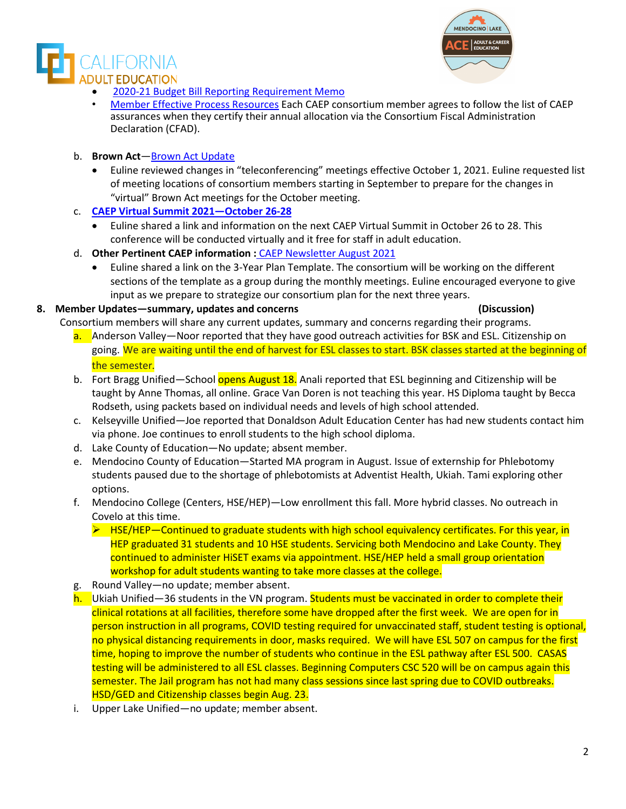• [2020-21 Budget Bill Reporting Requirement Memo](https://caladulted.org/DownloadFile/1226)

- [Member Effective Process Resources](https://drive.google.com/drive/folders/1AwCOXqnd00NHCydb5DZKT97JXWmf9TLx) Each CAEP consortium member agrees to follow the list of CAEP assurances when they certify their annual allocation via the Consortium Fiscal Administration Declaration (CFAD).
- b. **Brown Act**[—Brown Act Update](https://www.keenan.com/Resources/Briefings/Briefings-Detail/virtual-brown-act-meetings-will-expire-september-30th)
	- Euline reviewed changes in "teleconferencing" meetings effective October 1, 2021. Euline requested list of meeting locations of consortium members starting in September to prepare for the changes in "virtual" Brown Act meetings for the October meeting.
- c. **CAEP Virtual [Summit 2021—October](https://summit.caladulted.org/) 26-28**
	- Euline shared a link and information on the next CAEP Virtual Summit in October 26 to 28. This conference will be conducted virtually and it free for staff in adult education.
- d. **Other Pertinent CAEP information :** [CAEP Newsletter August 2021](https://outlook.office.com/mail/AAMkADc5OWYwMDc5LWQ1NTEtNDIyMS1iNWM4LTk1Zjc1MTJhNmQ5MQAuAAAAAABS7hAvm3%2FOSJeuK6xfig%2BhAQDiUFY3P1ikTKdRZ4eIy8p2AAAxHO2gAAA%3D/id/AAMkADc5OWYwMDc5LWQ1NTEtNDIyMS1iNWM4LTk1Zjc1MTJhNmQ5MQBGAAAAAABS7hAvm3%2FOSJeuK6xfig%2BhBwDiUFY3P1ikTKdRZ4eIy8p2AAAxHO2gAADiUFY3P1ikTKdRZ4eIy8p2AAHyRm5LAAA%3D)
	- Euline shared a link on the 3-Year Plan Template. The consortium will be working on the different sections of the template as a group during the monthly meetings. Euline encouraged everyone to give input as we prepare to strategize our consortium plan for the next three years.

### **8. Member Updates—summary, updates and concerns (Discussion)**

Consortium members will share any current updates, summary and concerns regarding their programs.

- a. Anderson Valley—Noor reported that they have good outreach activities for BSK and ESL. Citizenship on going. We are waiting until the end of harvest for ESL classes to start. BSK classes started at the beginning of the semester.
- b. Fort Bragg Unified—School opens August 18. Anali reported that ESL beginning and Citizenship will be taught by Anne Thomas, all online. Grace Van Doren is not teaching this year. HS Diploma taught by Becca Rodseth, using packets based on individual needs and levels of high school attended.
- c. Kelseyville Unified—Joe reported that Donaldson Adult Education Center has had new students contact him via phone. Joe continues to enroll students to the high school diploma.
- d. Lake County of Education—No update; absent member.
- e. Mendocino County of Education—Started MA program in August. Issue of externship for Phlebotomy students paused due to the shortage of phlebotomists at Adventist Health, Ukiah. Tami exploring other options.
- f. Mendocino College (Centers, HSE/HEP)—Low enrollment this fall. More hybrid classes. No outreach in Covelo at this time.
	- $\triangleright$  HSE/HEP—Continued to graduate students with high school equivalency certificates. For this year, in HEP graduated 31 students and 10 HSE students. Servicing both Mendocino and Lake County. They continued to administer HiSET exams via appointment. HSE/HEP held a small group orientation workshop for adult students wanting to take more classes at the college.
- g. Round Valley—no update; member absent.
- h. Ukiah Unified—36 students in the VN program. Students must be vaccinated in order to complete their clinical rotations at all facilities, therefore some have dropped after the first week. We are open for in person instruction in all programs, COVID testing required for unvaccinated staff, student testing is optional, no physical distancing requirements in door, masks required. We will have ESL 507 on campus for the first time, hoping to improve the number of students who continue in the ESL pathway after ESL 500. CASAS testing will be administered to all ESL classes. Beginning Computers CSC 520 will be on campus again this semester. The Jail program has not had many class sessions since last spring due to COVID outbreaks. HSD/GED and Citizenship classes begin Aug. 23.
- i. Upper Lake Unified—no update; member absent.



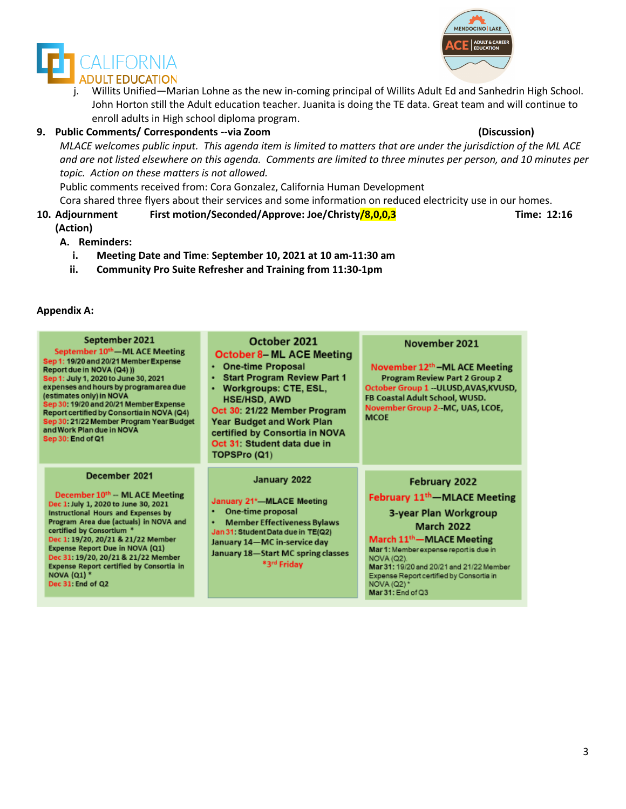



j. Willits Unified—Marian Lohne as the new in-coming principal of Willits Adult Ed and Sanhedrin High School. John Horton still the Adult education teacher. Juanita is doing the TE data. Great team and will continue to enroll adults in High school diploma program.

### **9. Public Comments/ Correspondents --via Zoom (Discussion)**

*MLACE welcomes public input. This agenda item is limited to matters that are under the jurisdiction of the ML ACE and are not listed elsewhere on this agenda. Comments are limited to three minutes per person, and 10 minutes per topic. Action on these matters is not allowed.*

Public comments received from: Cora Gonzalez, California Human Development

- Cora shared three flyers about their services and some information on reduced electricity use in our homes.
- **10. Adjournment First motion/Seconded/Approve: Joe/Christy/8,0,0,3 Time: 12:16 (Action)**

### **A. Reminders:**

- **i. Meeting Date and Time**: **September 10, 2021 at 10 am-11:30 am**
- **ii. Community Pro Suite Refresher and Training from 11:30-1pm**

### **Appendix A:**

| September 2021<br>September 10 <sup>th</sup> —ML ACE Meeting<br>Sep 1: 19/20 and 20/21 Member Expense<br>Report due in NOVA (Q4) ))<br>Sep 1: July 1, 2020 to June 30, 2021<br>expenses and hours by program area due<br>(estimates only) in NOVA<br>Sep 30: 19/20 and 20/21 Member Expense<br>Report certified by Consortia in NOVA (Q4)<br>Sep 30: 21/22 Member Program Year Budget<br>and Work Plan due in NOVA<br>Sep 30: End of Q1 | October 2021<br><b>October 8-ML ACE Meeting</b><br>• One-time Proposal<br><b>Start Program Review Part 1</b><br>٠<br>Workgroups: CTE, ESL,<br>٠<br><b>HSE/HSD, AWD</b><br>Oct 30: 21/22 Member Program<br>Year Budget and Work Plan<br>certified by Consortia in NOVA<br>Oct 31: Student data due in<br>TOPSPro (Q1) | November 2021<br>November 12th – ML ACE Meeting<br><b>Program Review Part 2 Group 2</b><br>October Group 1 -- ULUSD, AVAS, KVUSD,<br>FB Coastal Adult School, WUSD.<br>November Group 2--MC, UAS, LCOE,<br><b>MCOF</b>                                                                                                                      |
|-----------------------------------------------------------------------------------------------------------------------------------------------------------------------------------------------------------------------------------------------------------------------------------------------------------------------------------------------------------------------------------------------------------------------------------------|----------------------------------------------------------------------------------------------------------------------------------------------------------------------------------------------------------------------------------------------------------------------------------------------------------------------|---------------------------------------------------------------------------------------------------------------------------------------------------------------------------------------------------------------------------------------------------------------------------------------------------------------------------------------------|
| December 2021<br>December 10 <sup>th</sup> -- ML ACE Meeting<br>Dec 1: July 1, 2020 to June 30, 2021<br>Instructional Hours and Expenses by<br>Program Area due (actuals) in NOVA and<br>certified by Consortium *<br>Dec 1: 19/20, 20/21 & 21/22 Member<br>Expense Report Due in NOVA (Q1)<br>Dec 31: 19/20, 20/21 & 21/22 Member<br><b>Expense Report certified by Consortia in</b><br><b>NOVA (Q1) *</b><br>Dec 31: End of Q2        | January 2022<br>January 21*-MLACE Meeting<br>One-time proposal<br>٠<br><b>Member Effectiveness Bylaws</b><br>٠<br>Jan 31: Student Data due in TE(Q2)<br>January 14—MC in-service day<br>January 18-Start MC spring classes<br>*3rd Friday                                                                            | February 2022<br>February 11 <sup>th</sup> – MLACE Meeting<br>3-year Plan Workgroup<br><b>March 2022</b><br>March 11 <sup>th</sup> —MLACE Meeting<br>Mar 1: Member expense report is due in<br><b>NOVA (Q2).</b><br>Mar 31: 19/20 and 20/21 and 21/22 Member<br>Expense Report certified by Consortia in<br>NOVA (Q2)*<br>Mar 31: End of Q3 |